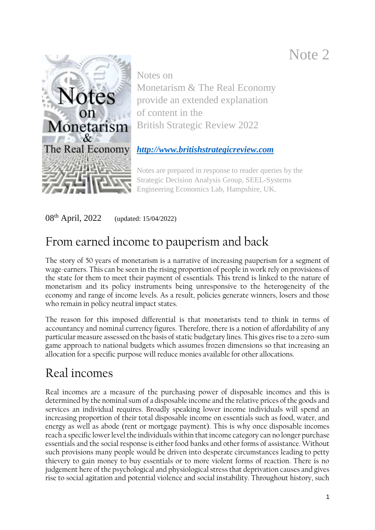# Note 2



Notes on Monetarism & The Real Economy provide an extended explanation of content in the British Strategic Review 2022

*[http://www.britishstrategicreview.com](http://www.britishstrategicreview.com/)*

Notes are prepared in response to reader queries by the Strategic Decision Analysis Group, SEEL-Systems Engineering Economics Lab, Hampshire, UK.

08<sup>th</sup> April, 2022 (updated: 15/04/2022)

#### From earned income to pauperism and back

The story of 50 years of monetarism is a narrative of increasing pauperism for a segment of wage-earners. This can be seen in the rising proportion of people in work rely on provisions of the state for them to meet their payment of essentials. This trend is linked to the nature of monetarism and its policy instruments being unresponsive to the heterogeneity of the economy and range of income levels. As a result, policies generate winners, losers and those who remain in policy neutral impact states.

The reason for this imposed differential is that monetarists tend to think in terms of accountancy and nominal currency figures. Therefore, there is a notion of affordability of any particular measure assessed on the basis of static budgetary lines. This gives rise to a zero-sum game approach to national budgets which assumes frozen dimensions so that increasing an allocation for a specific purpose will reduce monies available for other allocations.

## Real incomes

Real incomes are a measure of the purchasing power of disposable incomes and this is determined by the nominal sum of a disposable income and the relative prices of the goods and services an individual requires. Broadly speaking lower income individuals will spend an increasing proportion of their total disposable income on essentials such as food, water, and energy as well as abode (rent or mortgage payment). This is why once disposable incomes reach a specific lower level the individuals within that income category can no longer purchase essentials and the social response is either food banks and other forms of assistance. Without such provisions many people would be driven into desperate circumstances leading to petty thievery to gain money to buy essentials or to more violent forms of reaction. There is no judgement here of the psychological and physiological stress that deprivation causes and gives rise to social agitation and potential violence and social instability. Throughout history, such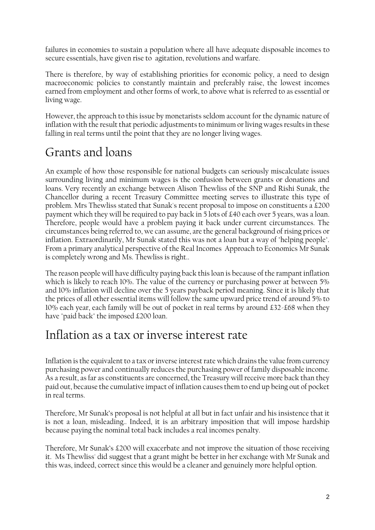failures in economies to sustain a population where all have adequate disposable incomes to secure essentials, have given rise to agitation, revolutions and warfare.

There is therefore, by way of establishing priorities for economic policy, a need to design macroeconomic policies to constantly maintain and preferably raise, the lowest incomes earned from employment and other forms of work, to above what is referred to as essential or living wage.

However, the approach to this issue by monetarists seldom account for the dynamic nature of inflation with the result that periodic adjustments to minimum or living wages results in these falling in real terms until the point that they are no longer living wages.

## Grants and loans

An example of how those responsible for national budgets can seriously miscalculate issues surrounding living and minimum wages is the confusion between grants or donations and loans. Very recently an exchange between Alison Thewliss of the SNP and Rishi Sunak, the Chancellor during a recent Treasury Committee meeting serves to illustrate this type of problem. Mrs Thewliss stated that Sunak's recent proposal to impose on constituents a £200 payment which they will be required to pay back in 5 lots of £40 each over 5 years, was a loan. Therefore, people would have a problem paying it back under current circumstances. The circumstances being referred to, we can assume, are the general background of rising prices or inflation. Extraordinarily, Mr Sunak stated this was not a loan but a way of "helping people". From a primary analytical perspective of the Real Incomes Approach to Economics Mr Sunak is completely wrong and Ms. Thewliss is right..

The reason people will have difficulty paying back this loan is because of the rampant inflation which is likely to reach 10%. The value of the currency or purchasing power at between 5% and 10% inflation will decline over the 5 years payback period meaning. Since it is likely that the prices of all other essential items will follow the same upward price trend of around 5% to 10% each year, each family will be out of pocket in real terms by around £32-£68 when they have "paid back" the imposed £200 loan.

#### Inflation as a tax or inverse interest rate

Inflation is the equivalent to a tax or inverse interest rate which drains the value from currency purchasing power and continually reduces the purchasing power of family disposable income. As a result, as far as constituents are concerned, the Treasury will receive more back than they paid out, because the cumulative impact of inflation causes them to end up being out of pocket in real terms.

Therefore, Mr Sunak's proposal is not helpful at all but in fact unfair and his insistence that it is not a loan, misleading.. Indeed, it is an arbitrary imposition that will impose hardship because paying the nominal total back includes a real incomes penalty.

Therefore, Mr Sunak's £200 will exacerbate and not improve the situation of those receiving it. Ms Thewliss' did suggest that a grant might be better in her exchange with Mr Sunak and this was, indeed, correct since this would be a cleaner and genuinely more helpful option.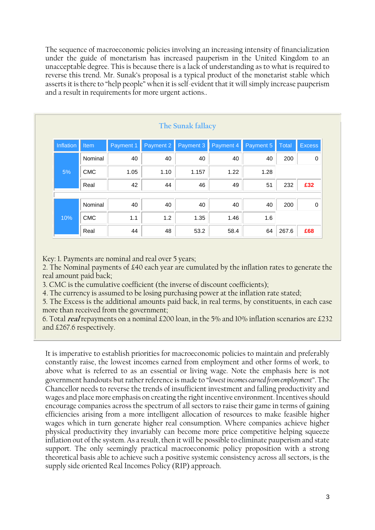The sequence of macroeconomic policies involving an increasing intensity of financialization under the guide of monetarism has increased pauperism in the United Kingdom to an unacceptable degree. This is because there is a lack of understanding as to what is required to reverse this trend. Mr. Sunak's proposal is a typical product of the monetarist stable which asserts it is there to "help people" when it is self-evident that it will simply increase pauperism and a result in requirements for more urgent actions..

|           |             |           |      | The Sunak fallacy   |           |                 |       |               |
|-----------|-------------|-----------|------|---------------------|-----------|-----------------|-------|---------------|
| Inflation | <b>Item</b> | Payment 1 |      | Payment 2 Payment 3 | Payment 4 | Payment 5<br>II | Total | <b>Excess</b> |
| 5%        | Nominal     | 40        | 40   | 40                  | 40        | 40              | 200   | 0             |
|           | <b>CMC</b>  | 1.05      | 1.10 | 1.157               | 1.22      | 1.28            |       |               |
|           | Real        | 42        | 44   | 46                  | 49        | 51              | 232   | £32           |
|           |             |           |      |                     |           |                 |       |               |
| 10%       | Nominal     | 40        | 40   | 40                  | 40        | 40              | 200   | 0             |
|           | <b>CMC</b>  | 1.1       | 1.2  | 1.35                | 1.46      | 1.6             |       |               |
|           | Real        | 44        | 48   | 53.2                | 58.4      | 64              | 267.6 | £68           |

Key: 1. Payments are nominal and real over 5 years;

2. The Nominal payments of £40 each year are cumulated by the inflation rates to generate the real amount paid back;

3. CMC is the cumulative coefficient (the inverse of discount coefficients);

4. The currency is assumed to be losing purchasing power at the inflation rate stated;

5. The Excess is the additional amounts paid back, in real terms, by constituents, in each case more than received from the government;

6. Total **real** repayments on a nominal £200 loan, in the 5% and 10% inflation scenarios are £232 and £267.6 respectively.

It is imperative to establish priorities for macroeconomic policies to maintain and preferably constantly raise, the lowest incomes earned from employment and other forms of work, to above what is referred to as an essential or living wage. Note the emphasis here is not government handouts but rather reference is made to "*lowest incomes earned from employment*". The Chancellor needs to reverse the trends of insufficient investment and falling productivity and wages and place more emphasis on creating the right incentive environment. Incentives should encourage companies across the spectrum of all sectors to raise their game in terms of gaining efficiencies arising from a more intelligent allocation of resources to make feasible higher wages which in turn generate higher real consumption. Where companies achieve higher physical productivity they invariably can become more price competitive helping squeeze inflation out of the system. As a result, then it will be possible to eliminate pauperism and state support. The only seemingly practical macroeconomic policy proposition with a strong theoretical basis able to achieve such a positive systemic consistency across all sectors, is the supply side oriented Real Incomes Policy (RIP) approach.